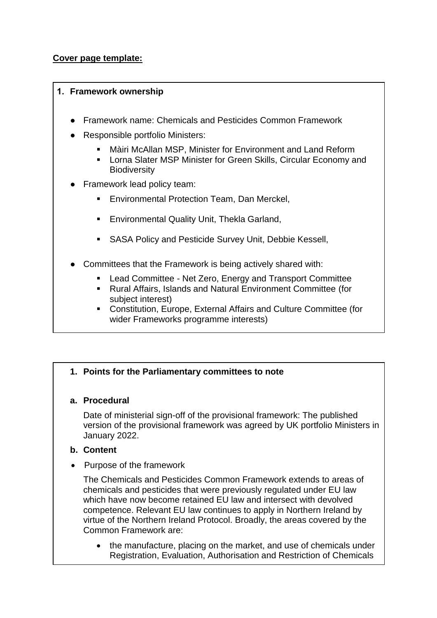# **Cover page template:**

### **1. Framework ownership**

- Framework name: Chemicals and Pesticides Common Framework
- **Responsible portfolio Ministers:** 
	- Màiri McAllan MSP, Minister for Environment and Land Reform
	- **EXEDENT MINISTS IN SP Minister for Green Skills, Circular Economy and Biodiversity**
- Framework lead policy team:
	- **Environmental Protection Team, Dan Merckel,**
	- **[Environmental Quality Unit](mailto:Thekla.Garland@gov.scot), Thekla Garland,**
	- **SASA Policy and Pesticide Survey Unit, Debbie Kessell,**
- Committees that the Framework is being actively shared with:
	- Lead Committee Net Zero, Energy and Transport Committee
	- Rural Affairs, Islands and Natural Environment Committee (for subject interest)
	- Constitution, Europe, External Affairs and Culture Committee (for wider Frameworks programme interests)

# **1. Points for the Parliamentary committees to note**

# **a. Procedural**

Date of ministerial sign-off of the provisional framework: The published version of the provisional framework was agreed by UK portfolio Ministers in January 2022.

# **b. Content**

• Purpose of the framework

The Chemicals and Pesticides Common Framework extends to areas of chemicals and pesticides that were previously regulated under EU law which have now become retained EU law and intersect with devolved competence. Relevant EU law continues to apply in Northern Ireland by virtue of the Northern Ireland Protocol. Broadly, the areas covered by the Common Framework are:

 the manufacture, placing on the market, and use of chemicals under Registration, Evaluation, Authorisation and Restriction of Chemicals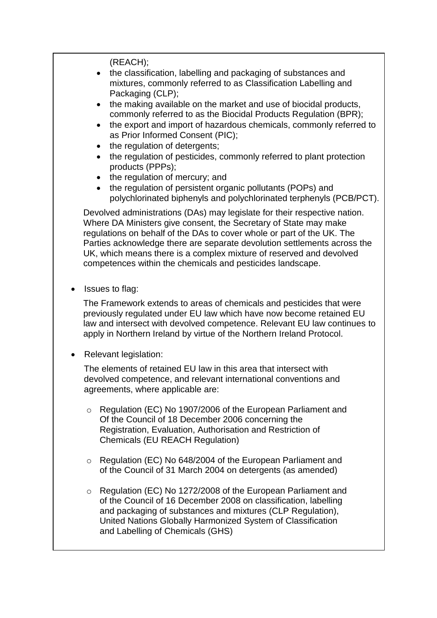(REACH);

- the classification, labelling and packaging of substances and mixtures, commonly referred to as Classification Labelling and Packaging (CLP):
- the making available on the market and use of biocidal products, commonly referred to as the Biocidal Products Regulation (BPR);
- the export and import of hazardous chemicals, commonly referred to as Prior Informed Consent (PIC);
- the regulation of detergents;
- the regulation of pesticides, commonly referred to plant protection products (PPPs);
- the regulation of mercury; and
- the regulation of persistent organic pollutants (POPs) and polychlorinated biphenyls and polychlorinated terphenyls (PCB/PCT).

Devolved administrations (DAs) may legislate for their respective nation. Where DA Ministers give consent, the Secretary of State may make regulations on behalf of the DAs to cover whole or part of the UK. The Parties acknowledge there are separate devolution settlements across the UK, which means there is a complex mixture of reserved and devolved competences within the chemicals and pesticides landscape.

Issues to flag:

The Framework extends to areas of chemicals and pesticides that were previously regulated under EU law which have now become retained EU law and intersect with devolved competence. Relevant EU law continues to apply in Northern Ireland by virtue of the Northern Ireland Protocol.

Relevant legislation:

The elements of retained EU law in this area that intersect with devolved competence, and relevant international conventions and agreements, where applicable are:

- o Regulation (EC) No 1907/2006 of the European Parliament and Of the Council of 18 December 2006 concerning the Registration, Evaluation, Authorisation and Restriction of Chemicals (EU REACH Regulation)
- o Regulation (EC) No 648/2004 of the European Parliament and of the Council of 31 March 2004 on detergents (as amended)
- o Regulation (EC) No 1272/2008 of the European Parliament and of the Council of 16 December 2008 on classification, labelling and packaging of substances and mixtures (CLP Regulation), United Nations Globally Harmonized System of Classification and Labelling of Chemicals (GHS)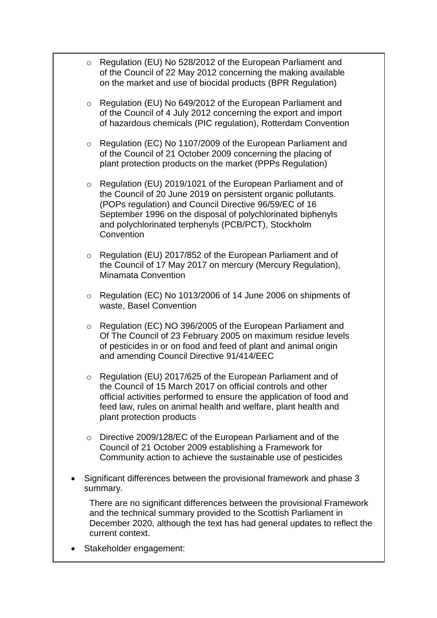- o Regulation (EU) No 528/2012 of the European Parliament and of the Council of 22 May 2012 concerning the making available on the market and use of biocidal products (BPR Regulation)
- o Regulation (EU) No 649/2012 of the European Parliament and of the Council of 4 July 2012 concerning the export and import of hazardous chemicals (PIC regulation), Rotterdam Convention
- o Regulation (EC) No 1107/2009 of the European Parliament and of the Council of 21 October 2009 concerning the placing of plant protection products on the market (PPPs Regulation)
- o Regulation (EU) 2019/1021 of the European Parliament and of the Council of 20 June 2019 on persistent organic pollutants. (POPs regulation) and Council Directive 96/59/EC of 16 September 1996 on the disposal of polychlorinated biphenyls and polychlorinated terphenyls (PCB/PCT), Stockholm **Convention**
- o Regulation (EU) 2017/852 of the European Parliament and of the Council of 17 May 2017 on mercury (Mercury Regulation), Minamata Convention
- o Regulation (EC) No 1013/2006 of 14 June 2006 on shipments of waste, Basel Convention
- o Regulation (EC) NO 396/2005 of the European Parliament and Of The Council of 23 February 2005 on maximum residue levels of pesticides in or on food and feed of plant and animal origin and amending Council Directive 91/414/EEC
- o Regulation (EU) 2017/625 of the European Parliament and of the Council of 15 March 2017 on official controls and other official activities performed to ensure the application of food and feed law, rules on animal health and welfare, plant health and plant protection products
- o Directive 2009/128/EC of the European Parliament and of the Council of 21 October 2009 establishing a Framework for Community action to achieve the sustainable use of pesticides
- Significant differences between the provisional framework and phase 3 summary.

There are no significant differences between the provisional Framework and the technical summary provided to the Scottish Parliament in December 2020, although the text has had general updates to reflect the current context.

Stakeholder engagement: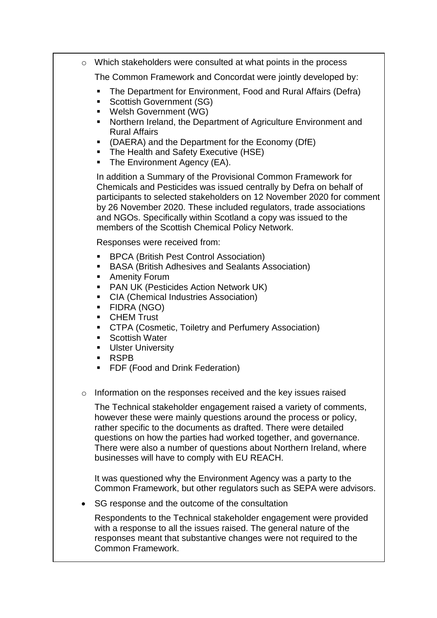o Which stakeholders were consulted at what points in the process

The Common Framework and Concordat were jointly developed by:

- **The Department for Environment, Food and Rural Affairs (Defra)**
- **Scottish Government (SG)**
- Welsh Government (WG)
- **Northern Ireland, the Department of Agriculture Environment and** Rural Affairs
- (DAERA) and the Department for the Economy (DfE)
- The Health and Safety Executive (HSE)
- The Environment Agency (EA).

In addition a Summary of the Provisional Common Framework for Chemicals and Pesticides was issued centrally by Defra on behalf of participants to selected stakeholders on 12 November 2020 for comment by 26 November 2020. These included regulators, trade associations and NGOs. Specifically within Scotland a copy was issued to the members of the Scottish Chemical Policy Network.

Responses were received from:

- BPCA (British Pest Control Association)
- **BASA (British Adhesives and Sealants Association)**
- **-** Amenity Forum
- **PAN UK (Pesticides Action Network UK)**
- CIA (Chemical Industries Association)
- FIDRA (NGO)
- **CHEM Trust**
- **CTPA (Cosmetic, Toiletry and Perfumery Association)**
- **Scottish Water**
- **Ulster University**
- RSPB
- **FDF (Food and Drink Federation)**
- o Information on the responses received and the key issues raised

The Technical stakeholder engagement raised a variety of comments, however these were mainly questions around the process or policy, rather specific to the documents as drafted. There were detailed questions on how the parties had worked together, and governance. There were also a number of questions about Northern Ireland, where businesses will have to comply with EU REACH.

It was questioned why the Environment Agency was a party to the Common Framework, but other regulators such as SEPA were advisors.

• SG response and the outcome of the consultation

Respondents to the Technical stakeholder engagement were provided with a response to all the issues raised. The general nature of the responses meant that substantive changes were not required to the Common Framework.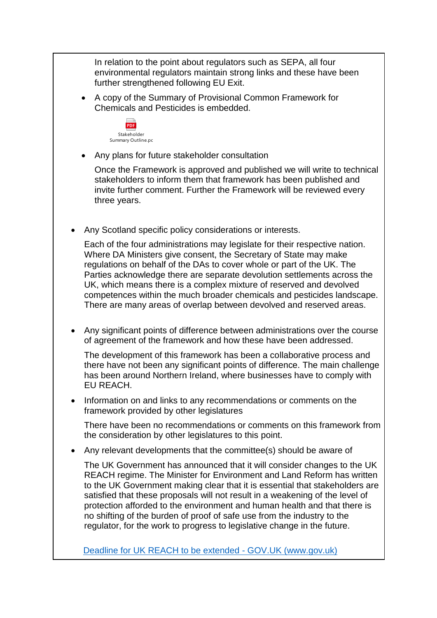In relation to the point about regulators such as SEPA, all four environmental regulators maintain strong links and these have been further strengthened following EU Exit.

 A copy of the Summary of Provisional Common Framework for Chemicals and Pesticides is embedded.



Any plans for future stakeholder consultation

Once the Framework is approved and published we will write to technical stakeholders to inform them that framework has been published and invite further comment. Further the Framework will be reviewed every three years.

Any Scotland specific policy considerations or interests.

Each of the four administrations may legislate for their respective nation. Where DA Ministers give consent, the Secretary of State may make regulations on behalf of the DAs to cover whole or part of the UK. The Parties acknowledge there are separate devolution settlements across the UK, which means there is a complex mixture of reserved and devolved competences within the much broader chemicals and pesticides landscape. There are many areas of overlap between devolved and reserved areas.

 Any significant points of difference between administrations over the course of agreement of the framework and how these have been addressed.

The development of this framework has been a collaborative process and there have not been any significant points of difference. The main challenge has been around Northern Ireland, where businesses have to comply with EU REACH.

 Information on and links to any recommendations or comments on the framework provided by other legislatures

There have been no recommendations or comments on this framework from the consideration by other legislatures to this point.

Any relevant developments that the committee(s) should be aware of

The UK Government has announced that it will consider changes to the UK REACH regime. The Minister for Environment and Land Reform has written to the UK Government making clear that it is essential that stakeholders are satisfied that these proposals will not result in a weakening of the level of protection afforded to the environment and human health and that there is no shifting of the burden of proof of safe use from the industry to the regulator, for the work to progress to legislative change in the future.

[Deadline for UK REACH to be extended -](https://www.gov.uk/government/news/deadline-for-uk-reach-to-be-extended?utm_medium=email&utm_campaign=govuk-notifications&utm_source=08ca2b1e-8012-40ab-9088-8a2dd84b0bab&utm_content=immediately) GOV.UK (www.gov.uk)